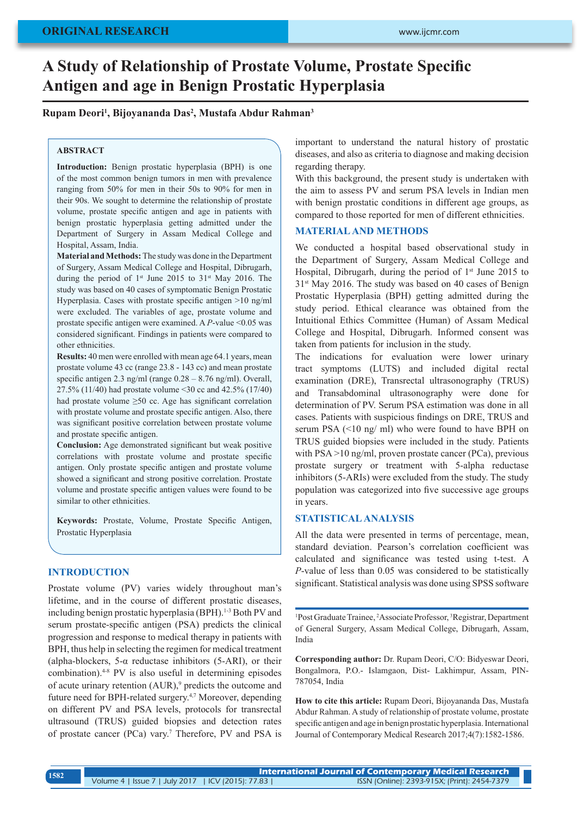# **A Study of Relationship of Prostate Volume, Prostate Specific Antigen and age in Benign Prostatic Hyperplasia**

### **Rupam Deori1 , Bijoyananda Das2 , Mustafa Abdur Rahman3**

#### **ABSTRACT**

**Introduction:** Benign prostatic hyperplasia (BPH) is one of the most common benign tumors in men with prevalence ranging from 50% for men in their 50s to 90% for men in their 90s. We sought to determine the relationship of prostate volume, prostate specific antigen and age in patients with benign prostatic hyperplasia getting admitted under the Department of Surgery in Assam Medical College and Hospital, Assam, India.

**Material and Methods:** The study was done in the Department of Surgery, Assam Medical College and Hospital, Dibrugarh, during the period of 1<sup>st</sup> June 2015 to 31<sup>st</sup> May 2016. The study was based on 40 cases of symptomatic Benign Prostatic Hyperplasia. Cases with prostate specific antigen >10 ng/ml were excluded. The variables of age, prostate volume and prostate specific antigen were examined. A *P*-value <0.05 was considered significant. Findings in patients were compared to other ethnicities.

**Results:** 40 men were enrolled with mean age 64.1 years, mean prostate volume 43 cc (range 23.8 - 143 cc) and mean prostate specific antigen 2.3 ng/ml (range 0.28 – 8.76 ng/ml). Overall, 27.5% (11/40) had prostate volume <30 cc and 42.5% (17/40) had prostate volume  $\geq 50$  cc. Age has significant correlation with prostate volume and prostate specific antigen. Also, there was significant positive correlation between prostate volume and prostate specific antigen.

**Conclusion:** Age demonstrated significant but weak positive correlations with prostate volume and prostate specific antigen. Only prostate specific antigen and prostate volume showed a significant and strong positive correlation. Prostate volume and prostate specific antigen values were found to be similar to other ethnicities.

**Keywords:** Prostate, Volume, Prostate Specific Antigen, Prostatic Hyperplasia

#### **INTRODUCTION**

Prostate volume (PV) varies widely throughout man's lifetime, and in the course of different prostatic diseases, including benign prostatic hyperplasia (BPH).<sup>1-3</sup> Both PV and serum prostate-specific antigen (PSA) predicts the clinical progression and response to medical therapy in patients with BPH, thus help in selecting the regimen for medical treatment (alpha-blockers, 5- $\alpha$  reductase inhibitors (5-ARI), or their combination).4-8 PV is also useful in determining episodes of acute urinary retention (AUR),<sup>9</sup> predicts the outcome and future need for BPH-related surgery.4,7 Moreover, depending on different PV and PSA levels, protocols for transrectal ultrasound (TRUS) guided biopsies and detection rates of prostate cancer (PCa) vary.<sup>7</sup> Therefore, PV and PSA is

important to understand the natural history of prostatic diseases, and also as criteria to diagnose and making decision regarding therapy.

With this background, the present study is undertaken with the aim to assess PV and serum PSA levels in Indian men with benign prostatic conditions in different age groups, as compared to those reported for men of different ethnicities.

# **MATERIAL AND METHODS**

We conducted a hospital based observational study in the Department of Surgery, Assam Medical College and Hospital, Dibrugarh, during the period of  $1<sup>st</sup>$  June 2015 to 31st May 2016. The study was based on 40 cases of Benign Prostatic Hyperplasia (BPH) getting admitted during the study period. Ethical clearance was obtained from the Intuitional Ethics Committee (Human) of Assam Medical College and Hospital, Dibrugarh. Informed consent was taken from patients for inclusion in the study.

The indications for evaluation were lower urinary tract symptoms (LUTS) and included digital rectal examination (DRE), Transrectal ultrasonography (TRUS) and Transabdominal ultrasonography were done for determination of PV. Serum PSA estimation was done in all cases. Patients with suspicious findings on DRE, TRUS and serum PSA (<10 ng/ ml) who were found to have BPH on TRUS guided biopsies were included in the study. Patients with PSA >10 ng/ml, proven prostate cancer (PCa), previous prostate surgery or treatment with 5-alpha reductase inhibitors (5-ARIs) were excluded from the study. The study population was categorized into five successive age groups in years.

# **STATISTICAL ANALYSIS**

All the data were presented in terms of percentage, mean, standard deviation. Pearson's correlation coefficient was calculated and significance was tested using t-test. A *P*-value of less than 0.05 was considered to be statistically significant. Statistical analysis was done using SPSS software

<sup>1</sup>Post Graduate Trainee, <sup>2</sup>Associate Professor, <sup>3</sup>Registrar, Department of General Surgery, Assam Medical College, Dibrugarh, Assam, India

**Corresponding author:** Dr. Rupam Deori, C/O: Bidyeswar Deori, Bongalmora, P.O.- Islamgaon, Dist- Lakhimpur, Assam, PIN-787054, India

**How to cite this article:** Rupam Deori, Bijoyananda Das, Mustafa Abdur Rahman. A study of relationship of prostate volume, prostate specific antigen and age in benign prostatic hyperplasia. International Journal of Contemporary Medical Research 2017;4(7):1582-1586.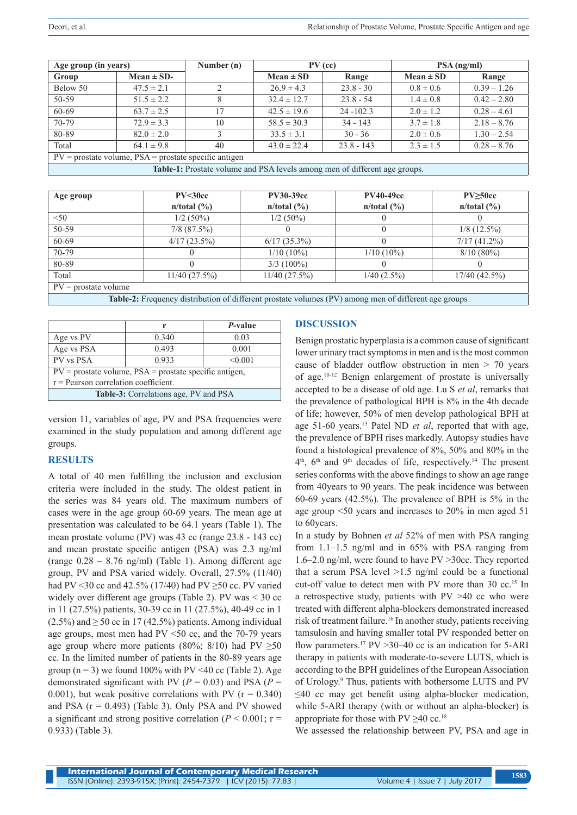| Age group (in years)                                                       |                | Number (n) | $PV$ (cc)       |              | $PSA$ (ng/ml) |               |
|----------------------------------------------------------------------------|----------------|------------|-----------------|--------------|---------------|---------------|
| Group                                                                      | Mean $\pm$ SD- |            | $Mean \pm SD$   | Range        | $Mean \pm SD$ | Range         |
| Below 50                                                                   | $47.5 \pm 2.1$ | 2          | $26.9 \pm 4.3$  | $23.8 - 30$  | $0.8 \pm 0.6$ | $0.39 - 1.26$ |
| 50-59                                                                      | $51.5 \pm 2.2$ | 8          | $32.4 \pm 12.7$ | $23.8 - 54$  | $1.4 \pm 0.8$ | $0.42 - 2.80$ |
| 60-69                                                                      | $63.7 \pm 2.5$ | 17         | $42.5 \pm 19.6$ | $24 - 102.3$ | $2.0 \pm 1.2$ | $0.28 - 4.61$ |
| 70-79                                                                      | $72.9 \pm 3.3$ | 10         | $58.5 \pm 30.3$ | $34 - 143$   | $3.7 \pm 1.8$ | $2.18 - 8.76$ |
| 80-89                                                                      | $82.0 \pm 2.0$ | 3          | $33.5 \pm 3.1$  | $30 - 36$    | $2.0 \pm 0.6$ | $1.30 - 2.54$ |
| Total                                                                      | $64.1 \pm 9.8$ | 40         | $43.0 \pm 22.4$ | $23.8 - 143$ | $2.3 \pm 1.5$ | $0.28 - 8.76$ |
| $PV =$ prostate volume, $PSA =$ prostate specific antigen                  |                |            |                 |              |               |               |
| Table-1: Prostate volume and PSA levels among men of different age groups. |                |            |                 |              |               |               |

| Age group                                                                                            | PV < 30cc<br>$n/total$ (%) | <b>PV30-39cc</b><br>n/total (%) | <b>PV40-49cc</b><br>$n/total$ (%) | PV > 50cc<br>$n/total$ (%) |  |
|------------------------------------------------------------------------------------------------------|----------------------------|---------------------------------|-----------------------------------|----------------------------|--|
| < 50                                                                                                 | $1/2(50\%)$                | $1/2(50\%)$                     |                                   |                            |  |
| 50-59                                                                                                | $7/8$ $(87.5\%)$           |                                 |                                   | $1/8$ (12.5%)              |  |
| 60-69                                                                                                | 4/17(23.5%)                | $6/17(35.3\%)$                  |                                   | $7/17(41.2\%)$             |  |
| 70-79                                                                                                |                            | $1/10(10\%)$                    | $1/10(10\%)$                      | $8/10(80\%)$               |  |
| 80-89                                                                                                |                            | $3/3$ (100%)                    |                                   |                            |  |
| Total                                                                                                | 11/40(27.5%)               | 11/40(27.5%)                    | $1/40$ (2.5%)                     | $17/40$ (42.5%)            |  |
| $PV =$ prostate volume                                                                               |                            |                                 |                                   |                            |  |
| Table 2. Frequency distribution of different prostate volumes (DV) emeng man of different age groups |                            |                                 |                                   |                            |  |

|  | Table-2: Frequency distribution of different prostate volumes (PV) among men of different age groups |  |  |  |
|--|------------------------------------------------------------------------------------------------------|--|--|--|
|--|------------------------------------------------------------------------------------------------------|--|--|--|

|                                                            | r     | <i>P</i> -value |  |  |  |
|------------------------------------------------------------|-------|-----------------|--|--|--|
| Age vs PV                                                  | 0.340 | 0.03            |  |  |  |
| Age vs PSA<br>0.493<br>0.001                               |       |                 |  |  |  |
| PV vs PSA                                                  | 0.933 | < 0.001         |  |  |  |
| $PV =$ prostate volume, $PSA =$ prostate specific antigen, |       |                 |  |  |  |
| $r =$ Pearson correlation coefficient.                     |       |                 |  |  |  |
| <b>Table-3:</b> Correlations age, PV and PSA               |       |                 |  |  |  |

version 11, variables of age, PV and PSA frequencies were examined in the study population and among different age groups.

### **RESULTS**

A total of 40 men fulfilling the inclusion and exclusion criteria were included in the study. The oldest patient in the series was 84 years old. The maximum numbers of cases were in the age group 60-69 years. The mean age at presentation was calculated to be 64.1 years (Table 1). The mean prostate volume (PV) was 43 cc (range 23.8 - 143 cc) and mean prostate specific antigen (PSA) was 2.3 ng/ml (range 0.28 – 8.76 ng/ml) (Table 1). Among different age group, PV and PSA varied widely. Overall, 27.5% (11/40) had PV <30 cc and 42.5% (17/40) had PV  $\geq$ 50 cc. PV varied widely over different age groups (Table 2). PV was < 30 cc in 11 (27.5%) patients, 30-39 cc in 11 (27.5%), 40-49 cc in 1  $(2.5\%)$  and  $\geq 50$  cc in 17 (42.5%) patients. Among individual age groups, most men had PV <50 cc, and the 70-79 years age group where more patients (80%; 8/10) had PV  $\geq 50$ cc. In the limited number of patients in the 80-89 years age group ( $n = 3$ ) we found 100% with PV <40 cc (Table 2). Age demonstrated significant with PV ( $P = 0.03$ ) and PSA ( $P =$ 0.001), but weak positive correlations with PV ( $r = 0.340$ ) and PSA  $(r = 0.493)$  (Table 3). Only PSA and PV showed a significant and strong positive correlation ( $P \le 0.001$ ; r = 0.933) (Table 3).

# **DISCUSSION**

Benign prostatic hyperplasia is a common cause of significant lower urinary tract symptoms in men and is the most common cause of bladder outflow obstruction in men > 70 years of age.10-12 Benign enlargement of prostate is universally accepted to be a disease of old age. Lu S *et al*, remarks that the prevalence of pathological BPH is 8% in the 4th decade of life; however, 50% of men develop pathological BPH at age 51-60 years.13 Patel ND *et al*, reported that with age, the prevalence of BPH rises markedly. Autopsy studies have found a histological prevalence of 8%, 50% and 80% in the  $4<sup>th</sup>$ ,  $6<sup>th</sup>$  and  $9<sup>th</sup>$  decades of life, respectively.<sup>14</sup> The present series conforms with the above findings to show an age range from 40years to 90 years. The peak incidence was between 60-69 years (42.5%). The prevalence of BPH is 5% in the age group <50 years and increases to 20% in men aged 51 to 60years.

In a study by Bohnen *et al* 52% of men with PSA ranging from 1.1–1.5 ng/ml and in 65% with PSA ranging from 1.6–2.0 ng/ml, were found to have PV >30cc. They reported that a serum PSA level >1.5 ng/ml could be a functional cut-off value to detect men with PV more than 30 cc.15 In a retrospective study, patients with PV >40 cc who were treated with different alpha-blockers demonstrated increased risk of treatment failure.16 In another study, patients receiving tamsulosin and having smaller total PV responded better on flow parameters.<sup>17</sup> PV > 30–40 cc is an indication for 5-ARI therapy in patients with moderate-to-severe LUTS, which is according to the BPH guidelines of the European Association of Urology. 9 Thus, patients with bothersome LUTS and PV ≤40 cc may get benefit using alpha-blocker medication, while 5-ARI therapy (with or without an alpha-blocker) is appropriate for those with  $PV \geq 40$  cc.<sup>18</sup>

We assessed the relationship between PV, PSA and age in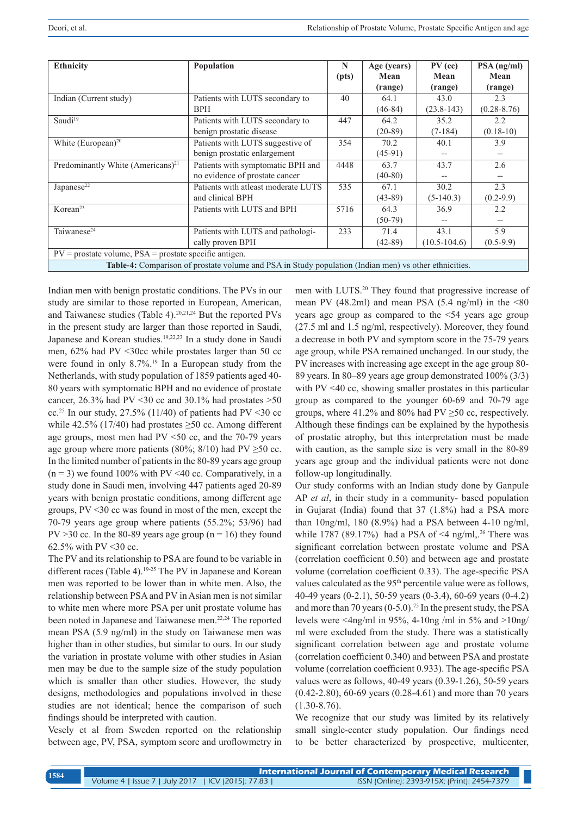| <b>Ethnicity</b>                                                                                      | Population                           | N     | Age (years) | $PV$ (cc)        | $PSA$ (ng/ml)   |  |
|-------------------------------------------------------------------------------------------------------|--------------------------------------|-------|-------------|------------------|-----------------|--|
|                                                                                                       |                                      | (pts) | Mean        | Mean             | Mean            |  |
|                                                                                                       |                                      |       | (range)     | (range)          | (range)         |  |
| Indian (Current study)                                                                                | Patients with LUTS secondary to      | 40    | 64.1        | 43.0             | 2.3             |  |
|                                                                                                       | <b>BPH</b>                           |       | $(46-84)$   | $(23.8-143)$     | $(0.28 - 8.76)$ |  |
| Saudi <sup>19</sup>                                                                                   | Patients with LUTS secondary to      | 447   | 64.2        | 35.2             | 2.2             |  |
|                                                                                                       | benign prostatic disease             |       | $(20-89)$   | $(7-184)$        | $(0.18-10)$     |  |
| White $(European)^{20}$                                                                               | Patients with LUTS suggestive of     | 354   | 70.2        | 40.1             | 3.9             |  |
|                                                                                                       | benign prostatic enlargement         |       | $(45-91)$   |                  | $- -$           |  |
| Predominantly White (Americans) <sup>21</sup>                                                         | Patients with symptomatic BPH and    | 4448  | 63.7        | 43.7             | 2.6             |  |
|                                                                                                       | no evidence of prostate cancer       |       | $(40-80)$   |                  | $- -$           |  |
| Japanese <sup>22</sup>                                                                                | Patients with at least moderate LUTS | 535   | 67.1        | 30.2             | 2.3             |  |
|                                                                                                       | and clinical BPH                     |       | $(43-89)$   | $(5-140.3)$      | $(0.2-9.9)$     |  |
| Korean <sup>23</sup>                                                                                  | Patients with LUTS and BPH           | 5716  | 64.3        | 36.9             | 2.2             |  |
|                                                                                                       |                                      |       | $(50-79)$   |                  | $-$             |  |
| Taiwanese <sup>24</sup>                                                                               | Patients with LUTS and pathologi-    | 233   | 71.4        | 43.1             | 5.9             |  |
|                                                                                                       | cally proven BPH                     |       | $(42-89)$   | $(10.5 - 104.6)$ | $(0.5-9.9)$     |  |
| $PV =$ prostate volume, $PSA =$ prostate specific antigen.                                            |                                      |       |             |                  |                 |  |
| Table-4: Comparison of prostate volume and PSA in Study population (Indian men) vs other ethnicities. |                                      |       |             |                  |                 |  |

Indian men with benign prostatic conditions. The PVs in our study are similar to those reported in European, American, and Taiwanese studies (Table 4).20,21,24 But the reported PVs in the present study are larger than those reported in Saudi, Japanese and Korean studies.<sup>19,22,23</sup> In a study done in Saudi men, 62% had PV <30cc while prostates larger than 50 cc were found in only 8.7%.<sup>19</sup> In a European study from the Netherlands, with study population of 1859 patients aged 40- 80 years with symptomatic BPH and no evidence of prostate cancer,  $26.3\%$  had PV < 30 cc and  $30.1\%$  had prostates > 50 cc.<sup>25</sup> In our study, 27.5% (11/40) of patients had PV <30 cc while 42.5% (17/40) had prostates  $\geq$ 50 cc. Among different age groups, most men had PV <50 cc, and the 70-79 years age group where more patients (80%; 8/10) had PV  $\geq$ 50 cc. In the limited number of patients in the 80-89 years age group  $(n = 3)$  we found 100% with PV <40 cc. Comparatively, in a study done in Saudi men, involving 447 patients aged 20-89 years with benign prostatic conditions, among different age groups, PV <30 cc was found in most of the men, except the 70-79 years age group where patients (55.2%; 53/96) had  $PV > 30$  cc. In the 80-89 years age group (n = 16) they found 62.5% with PV <30 cc.

The PV and its relationship to PSA are found to be variable in different races (Table 4).<sup>19-25</sup> The PV in Japanese and Korean men was reported to be lower than in white men. Also, the relationship between PSA and PV in Asian men is not similar to white men where more PSA per unit prostate volume has been noted in Japanese and Taiwanese men.<sup>22,24</sup> The reported mean PSA (5.9 ng/ml) in the study on Taiwanese men was higher than in other studies, but similar to ours. In our study the variation in prostate volume with other studies in Asian men may be due to the sample size of the study population which is smaller than other studies. However, the study designs, methodologies and populations involved in these studies are not identical; hence the comparison of such findings should be interpreted with caution.

Vesely et al from Sweden reported on the relationship between age, PV, PSA, symptom score and uroflowmetry in

men with LUTS.20 They found that progressive increase of mean PV (48.2ml) and mean PSA (5.4 ng/ml) in the  $\leq 80$ years age group as compared to the <54 years age group (27.5 ml and 1.5 ng/ml, respectively). Moreover, they found a decrease in both PV and symptom score in the 75-79 years age group, while PSA remained unchanged. In our study, the PV increases with increasing age except in the age group 80- 89 years. In 80–89 years age group demonstrated 100% (3/3) with PV <40 cc, showing smaller prostates in this particular group as compared to the younger 60-69 and 70-79 age groups, where 41.2% and 80% had PV  $\geq$ 50 cc, respectively. Although these findings can be explained by the hypothesis of prostatic atrophy, but this interpretation must be made with caution, as the sample size is very small in the 80-89 years age group and the individual patients were not done follow-up longitudinally.

Our study conforms with an Indian study done by Ganpule AP *et al*, in their study in a community- based population in Gujarat (India) found that 37 (1.8%) had a PSA more than 10ng/ml, 180 (8.9%) had a PSA between 4-10 ng/ml, while 1787 (89.17%) had a PSA of  $\leq$ 4 ng/ml,.<sup>26</sup> There was significant correlation between prostate volume and PSA (correlation coefficient 0.50) and between age and prostate volume (correlation coefficient 0.33). The age-specific PSA values calculated as the 95<sup>th</sup> percentile value were as follows, 40-49 years (0-2.1), 50-59 years (0-3.4), 60-69 years (0-4.2) and more than 70 years  $(0-5.0)$ .<sup>75</sup> In the present study, the PSA levels were  $\langle 4ng/ml$  in 95%, 4-10ng/ml in 5% and  $>10ng$ ml were excluded from the study. There was a statistically significant correlation between age and prostate volume (correlation coefficient 0.340) and between PSA and prostate volume (correlation coefficient 0.933). The age-specific PSA values were as follows, 40-49 years (0.39-1.26), 50-59 years (0.42-2.80), 60-69 years (0.28-4.61) and more than 70 years (1.30-8.76).

We recognize that our study was limited by its relatively small single-center study population. Our findings need to be better characterized by prospective, multicenter,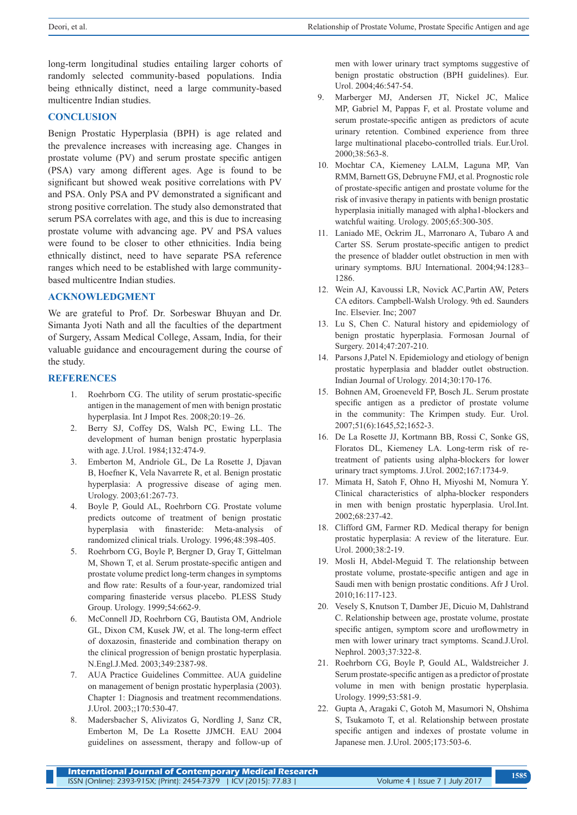long-term longitudinal studies entailing larger cohorts of randomly selected community-based populations. India being ethnically distinct, need a large community-based multicentre Indian studies.

### **CONCLUSION**

Benign Prostatic Hyperplasia (BPH) is age related and the prevalence increases with increasing age. Changes in prostate volume (PV) and serum prostate specific antigen (PSA) vary among different ages. Age is found to be significant but showed weak positive correlations with PV and PSA. Only PSA and PV demonstrated a significant and strong positive correlation. The study also demonstrated that serum PSA correlates with age, and this is due to increasing prostate volume with advancing age. PV and PSA values were found to be closer to other ethnicities. India being ethnically distinct, need to have separate PSA reference ranges which need to be established with large communitybased multicentre Indian studies.

#### **ACKNOWLEDGMENT**

We are grateful to Prof. Dr. Sorbeswar Bhuyan and Dr. Simanta Jyoti Nath and all the faculties of the department of Surgery, Assam Medical College, Assam, India, for their valuable guidance and encouragement during the course of the study.

#### **REFERENCES**

- Roehrborn CG. The utility of serum prostatic-specific antigen in the management of men with benign prostatic hyperplasia. Int J Impot Res. 2008;20:19–26.
- 2. Berry SJ, Coffey DS, Walsh PC, Ewing LL. The development of human benign prostatic hyperplasia with age. J.Urol. 1984;132:474-9.
- 3. Emberton M, Andriole GL, De La Rosette J, Djavan B, Hoefner K, Vela Navarrete R, et al. Benign prostatic hyperplasia: A progressive disease of aging men. Urology. 2003;61:267-73.
- 4. Boyle P, Gould AL, Roehrborn CG. Prostate volume predicts outcome of treatment of benign prostatic hyperplasia with finasteride: Meta-analysis of randomized clinical trials. Urology. 1996;48:398-405.
- 5. Roehrborn CG, Boyle P, Bergner D, Gray T, Gittelman M, Shown T, et al. Serum prostate-specific antigen and prostate volume predict long-term changes in symptoms and flow rate: Results of a four-year, randomized trial comparing finasteride versus placebo. PLESS Study Group. Urology. 1999;54:662-9.
- 6. McConnell JD, Roehrborn CG, Bautista OM, Andriole GL, Dixon CM, Kusek JW, et al. The long-term effect of doxazosin, finasteride and combination therapy on the clinical progression of benign prostatic hyperplasia. N.Engl.J.Med. 2003;349:2387-98.
- 7. AUA Practice Guidelines Committee. AUA guideline on management of benign prostatic hyperplasia (2003). Chapter 1: Diagnosis and treatment recommendations. J.Urol. 2003;;170:530-47.
- 8. Madersbacher S, Alivizatos G, Nordling J, Sanz CR, Emberton M, De La Rosette JJMCH. EAU 2004 guidelines on assessment, therapy and follow-up of

men with lower urinary tract symptoms suggestive of benign prostatic obstruction (BPH guidelines). Eur. Urol. 2004;46:547-54.

- 9. Marberger MJ, Andersen JT, Nickel JC, Malice MP, Gabriel M, Pappas F, et al. Prostate volume and serum prostate-specific antigen as predictors of acute urinary retention. Combined experience from three large multinational placebo-controlled trials. Eur.Urol. 2000;38:563-8.
- 10. Mochtar CA, Kiemeney LALM, Laguna MP, Van RMM, Barnett GS, Debruyne FMJ, et al. Prognostic role of prostate-specific antigen and prostate volume for the risk of invasive therapy in patients with benign prostatic hyperplasia initially managed with alpha1-blockers and watchful waiting. Urology. 2005;65:300-305.
- 11. Laniado ME, Ockrim JL, Marronaro A, Tubaro A and Carter SS. Serum prostate-specific antigen to predict the presence of bladder outlet obstruction in men with urinary symptoms. BJU International. 2004;94:1283– 1286.
- 12. Wein AJ, Kavoussi LR, Novick AC,Partin AW, Peters CA editors. Campbell-Walsh Urology. 9th ed. Saunders Inc. Elsevier. Inc; 2007
- 13. Lu S, Chen C. Natural history and epidemiology of benign prostatic hyperplasia. Formosan Journal of Surgery. 2014;47:207-210.
- 14. Parsons J,Patel N. Epidemiology and etiology of benign prostatic hyperplasia and bladder outlet obstruction. Indian Journal of Urology. 2014;30:170-176.
- 15. Bohnen AM, Groeneveld FP, Bosch JL. Serum prostate specific antigen as a predictor of prostate volume in the community: The Krimpen study. Eur. Urol. 2007;51(6):1645,52;1652-3.
- 16. De La Rosette JJ, Kortmann BB, Rossi C, Sonke GS, Floratos DL, Kiemeney LA. Long-term risk of retreatment of patients using alpha-blockers for lower urinary tract symptoms. J.Urol. 2002;167:1734-9.
- 17. Mimata H, Satoh F, Ohno H, Miyoshi M, Nomura Y. Clinical characteristics of alpha-blocker responders in men with benign prostatic hyperplasia. Urol.Int. 2002;68:237-42.
- 18. Clifford GM, Farmer RD. Medical therapy for benign prostatic hyperplasia: A review of the literature. Eur. Urol. 2000;38:2-19.
- 19. Mosli H, Abdel-Meguid T. The relationship between prostate volume, prostate-specific antigen and age in Saudi men with benign prostatic conditions. Afr J Urol. 2010;16:117-123.
- 20. Vesely S, Knutson T, Damber JE, Dicuio M, Dahlstrand C. Relationship between age, prostate volume, prostate specific antigen, symptom score and uroflowmetry in men with lower urinary tract symptoms. Scand.J.Urol. Nephrol. 2003;37:322-8.
- 21. Roehrborn CG, Boyle P, Gould AL, Waldstreicher J. Serum prostate-specific antigen as a predictor of prostate volume in men with benign prostatic hyperplasia. Urology. 1999;53:581-9.
- 22. Gupta A, Aragaki C, Gotoh M, Masumori N, Ohshima S, Tsukamoto T, et al. Relationship between prostate specific antigen and indexes of prostate volume in Japanese men. J.Urol. 2005;173:503-6.